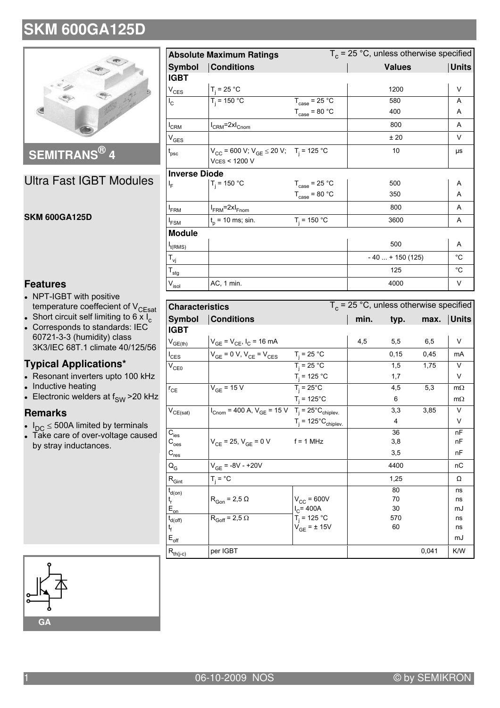

**SEMITRANS® 4**

Ultra Fast IGBT Modules

#### **SKM 600GA125D**

### **Features**

- NPT-IGBT with positive temperature coeffecient of V<sub>CEsat</sub>
- Short circuit self limiting to 6  $\times$  I<sub>c</sub> • Corresponds to standards: IEC 60721-3-3 (humidity) class 3K3/IEC 68T.1 climate 40/125/56

### **Typical Applications\***

- Resonant inverters upto 100 kHz
- $\bullet$ Inductive heating
- Electronic welders at  $f_{SW}$  > 20 kHz

#### **Remarks**

- $I_{DC} \leq 500A$  limited by terminals
- Take care of over-voltage caused by stray inductances.

| <b>Absolute Maximum Ratings</b>      |                                                                                            |                                   | $T_c$ = 25 °C, unless otherwise specified |              |  |
|--------------------------------------|--------------------------------------------------------------------------------------------|-----------------------------------|-------------------------------------------|--------------|--|
| <b>Conditions</b><br><b>Symbol</b>   |                                                                                            |                                   | <b>Values</b>                             | <b>Units</b> |  |
| <b>IGBT</b>                          |                                                                                            |                                   |                                           |              |  |
| $V_{CES}$                            | $T_i = 25 °C$                                                                              |                                   | 1200                                      | V            |  |
| $I_{\rm C}$                          | $T_i = 150 °C$                                                                             | $T_{\text{case}}$ = 25 °C         | 580                                       | A            |  |
|                                      |                                                                                            | $T_{\text{case}} = 80 \text{ °C}$ | 400                                       | A            |  |
| <sup>I</sup> CRM                     | $I_{CRM}$ =2x $I_{Cnom}$                                                                   |                                   | 800                                       | A            |  |
| $V_{GES}$                            |                                                                                            |                                   | ±20                                       | V            |  |
| t <sub>psc</sub>                     | $V_{CC}$ = 600 V; $V_{GE}$ $\leq$ 20 V; T <sub>i</sub> = 125 °C<br><b>VCES &lt; 1200 V</b> |                                   | 10                                        | μs           |  |
| <b>Inverse Diode</b>                 |                                                                                            |                                   |                                           |              |  |
| I <sub>F</sub>                       | $T_i = 150 °C$                                                                             | $T_{\text{case}}$ = 25 °C         | 500                                       | Α            |  |
|                                      |                                                                                            | $T_{\text{case}}$ = 80 °C         | 350                                       | A            |  |
| <sup>I</sup> FRM                     | $I_{FRM}$ =2x $I_{Fnom}$                                                                   |                                   | 800                                       | A            |  |
| $I_{FSM}$                            | $t_{p}$ = 10 ms; sin.                                                                      | $T_i = 150 °C$                    | 3600                                      | A            |  |
| <b>Module</b>                        |                                                                                            |                                   |                                           |              |  |
| $I_{t(RMS)}$                         |                                                                                            |                                   | 500                                       | A            |  |
| $\mathsf{T}_{\mathsf{v} \mathsf{j}}$ |                                                                                            |                                   | $-40 + 150(125)$                          | $^{\circ}$ C |  |
| $T_{\text{stg}}$                     |                                                                                            |                                   | 125                                       | $^{\circ}$ C |  |
| $\mathsf{V}_{\mathsf{isol}}$         | AC, 1 min.                                                                                 |                                   | 4000                                      | V            |  |

| <b>Characteristics</b>                   |                                                                                                                         | $T_c$ = 25 °C, unless otherwise specified |      |       |       |              |
|------------------------------------------|-------------------------------------------------------------------------------------------------------------------------|-------------------------------------------|------|-------|-------|--------------|
| <b>Symbol</b>                            | <b>Conditions</b>                                                                                                       |                                           | min. | typ.  | max.  | <b>Units</b> |
| <b>IGBT</b>                              |                                                                                                                         |                                           |      |       |       |              |
| $V_{GE(th)}$                             | $V_{GE} = V_{CE}$ , $I_C = 16$ mA                                                                                       |                                           | 4,5  | 5,5   | 6,5   | V            |
| $I_{\text{CES}}$                         | $V_{GE}$ = 0 V, $V_{CE}$ = $V_{CES}$                                                                                    | $T_i = 25 °C$                             |      | 0, 15 | 0,45  | mA           |
| $V_{CE0}$                                |                                                                                                                         | $T_i = 25 °C$                             |      | 1,5   | 1,75  | $\vee$       |
|                                          |                                                                                                                         | $T_i = 125 °C$                            |      | 1,7   |       | V            |
| $r_{CE}$                                 | $V_{GE}$ = 15 $\overline{V}$                                                                                            | $T_i = 25^{\circ}C$                       |      | 4,5   | 5,3   | $m\Omega$    |
|                                          |                                                                                                                         | $T_i = 125^{\circ}C$                      |      | 6     |       | $m\Omega$    |
| $\mathsf{V}_{\mathsf{CE}(\mathsf{sat})}$ | $I_{\text{Cnom}} = 400 \text{ A}, V_{\text{GE}} = 15 \text{ V}$ T <sub>j</sub> = 25 <sup>°</sup> C <sub>chiplev</sub> . |                                           |      | 3,3   | 3,85  | V            |
|                                          |                                                                                                                         | $T_i = 125^{\circ}C_{\text{chiplev}}$     |      | 4     |       | V            |
| $C_{\text{ies}}$                         |                                                                                                                         |                                           |      | 36    |       | nF           |
| C <sub>oes</sub>                         | $V_{CF}$ = 25, $V_{GF}$ = 0 V                                                                                           | $f = 1$ MHz                               |      | 3,8   |       | nF           |
| $C_{res}$                                |                                                                                                                         |                                           |      | 3,5   |       | nF           |
| $Q_G$                                    | $V_{GF}$ = -8V - +20V                                                                                                   |                                           |      | 4400  |       | nC           |
| $\mathsf{R}_{\mathsf{Gint}}$             | $T_i = {}^{\circ}C$                                                                                                     |                                           |      | 1,25  |       | Ω            |
| $t_{d(on)}$                              |                                                                                                                         |                                           |      | 80    |       | ns           |
| t <sub>r</sub>                           | $R_{Gon}$ = 2,5 $\Omega$                                                                                                | $V_{CC}$ = 600V                           |      | 70    |       | ns           |
| $E_{on}$                                 |                                                                                                                         | $I_C = 400A$                              |      | 30    |       | mJ           |
| $t_{d(off)}$                             | $R_{Goff} = 2.5 \Omega$                                                                                                 | $T_i = 125 °C$                            |      | 570   |       | ns           |
| t <sub>f</sub>                           |                                                                                                                         | $V_{GE}$ = $\pm$ 15V                      |      | 60    |       | ns           |
| $\mathsf{E}_{\mathsf{off}}$              |                                                                                                                         |                                           |      |       |       | mJ           |
| $\mathsf{R}_{\mathsf{th}(j\text{-}c)}$   | per IGBT                                                                                                                |                                           |      |       | 0,041 | K/W          |

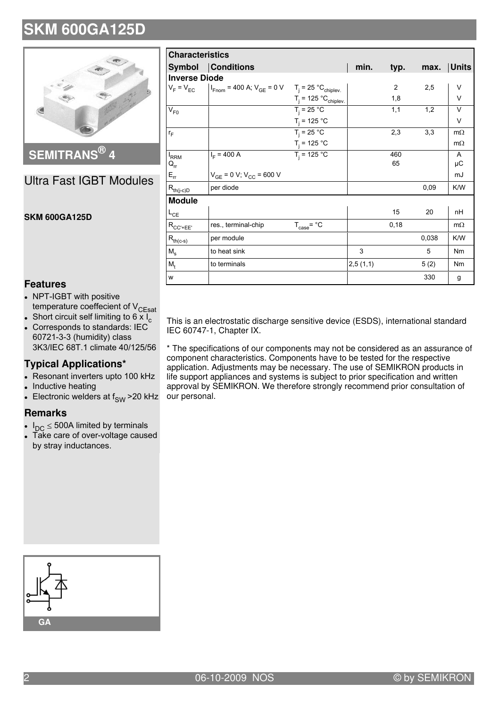

**SEMITRANS® 4**

### Ultra Fast IGBT Modules

#### **SKM 600GA125D**

| <b>Characteristics</b>                                    |                                                                                        |                           |          |       |       |                |  |
|-----------------------------------------------------------|----------------------------------------------------------------------------------------|---------------------------|----------|-------|-------|----------------|--|
|                                                           | <b>Symbol Conditions</b>                                                               |                           | min.     | typ.  | max.  | <b>Units</b>   |  |
|                                                           | <b>Inverse Diode</b>                                                                   |                           |          |       |       |                |  |
|                                                           | $V_F = V_{EC}$   $I_{Fnom} = 400$ A; $V_{GE} = 0$ V $T_i = 25$ °C <sub>chiplev</sub> . |                           |          | 2     | 2,5   | V              |  |
|                                                           |                                                                                        | $T_i = 125 °C_{chiplev.}$ |          | 1,8   |       | $\vee$         |  |
| $V_{F0}$                                                  |                                                                                        | $T_i = 25 °C$             |          | 1,1   | 1,2   | $\vee$         |  |
|                                                           |                                                                                        | $T_i = 125 °C$            |          |       |       | $\vee$         |  |
| $r_F$                                                     |                                                                                        | $T_i = 25 °C$             |          | 2,3   | 3,3   | $m\Omega$      |  |
|                                                           |                                                                                        | $T_i = 125 °C$            |          |       |       | $m\Omega$      |  |
| $I_{RRM}$                                                 | $I_F = 400 A$                                                                          | $T_i = 125 °C$            |          | 460   |       | $\mathsf{A}$   |  |
| $Q_{rr}$                                                  |                                                                                        |                           |          | 65    |       | μC             |  |
| $E_{rr}$                                                  | $V_{GE}$ = 0 V; $V_{CC}$ = 600 V                                                       |                           |          |       |       | mJ             |  |
| $\mathsf{R}_{\mathsf{th}(j\text{-}\mathsf{c})\mathsf{D}}$ | per diode                                                                              |                           |          |       | 0,09  | K/W            |  |
| <b>Module</b>                                             |                                                                                        |                           |          |       |       |                |  |
| $L_{CE}$                                                  |                                                                                        |                           |          | 15    | 20    | nH             |  |
| $R_{CC'+EE'}$                                             | res., terminal-chip                                                                    | $T_{\text{case}}$ = °C    |          | 0, 18 |       | $m\Omega$      |  |
| $R_{th(c-s)}$                                             | per module                                                                             |                           |          |       | 0,038 | K/W            |  |
| $M_{\rm s}$                                               | to heat sink                                                                           |                           | 3        |       | 5     | N <sub>m</sub> |  |
| $M_{t}$                                                   | to terminals                                                                           |                           | 2,5(1,1) |       | 5(2)  | Nm             |  |
| w                                                         |                                                                                        |                           |          |       | 330   | g              |  |

**Features**

- NPT-IGBT with positive temperature coeffecient of V<sub>CEsat</sub>
- Short circuit self limiting to 6  $\times$  I<sub>c</sub>
- $\bullet$  Corresponds to standards: IEC 60721-3-3 (humidity) class 3K3/IEC 68T.1 climate 40/125/56

### **Typical Applications\***

- Resonant inverters upto 100 kHz
- $\bullet$ Inductive heating
- Electronic welders at  $f_{SW}$  > 20 kHz

#### **Remarks**

- $\bullet$  $I_{DC} \leq 500A$  limited by terminals
- Take care of over-voltage caused by stray inductances.

This is an electrostatic discharge sensitive device (ESDS), international standard IEC 60747-1, Chapter IX.

\* The specifications of our components may not be considered as an assurance of component characteristics. Components have to be tested for the respective application. Adjustments may be necessary. The use of SEMIKRON products in life support appliances and systems is subject to prior specification and written approval by SEMIKRON. We therefore strongly recommend prior consultation of our personal.

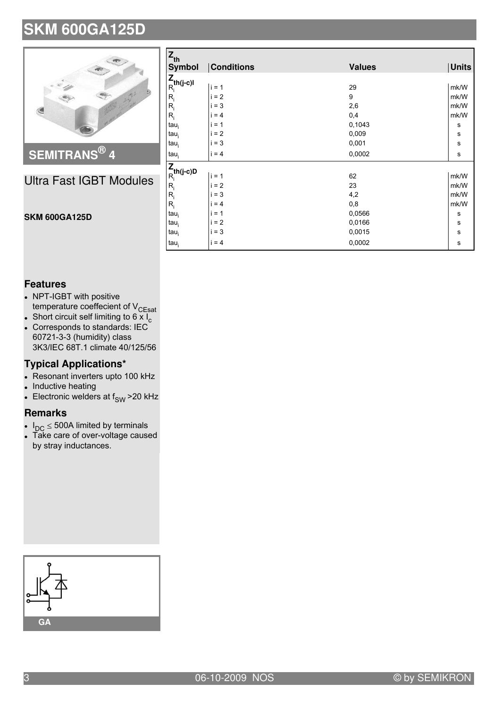

### **SEMITRANS® 4**

### Ultra Fast IGBT Modules

| $Z_{th}$                                                                                     |                   |               |              |  |  |
|----------------------------------------------------------------------------------------------|-------------------|---------------|--------------|--|--|
| <b>Symbol</b>                                                                                | <b>Conditions</b> | <b>Values</b> | <b>Units</b> |  |  |
|                                                                                              |                   |               |              |  |  |
| $\mathsf{Z}_{\mathsf{th}(\mathsf{j}\text{-}\mathsf{c})\mathsf{l}}^{\mathsf{Z}}$              | $i = 1$           | 29            | mk/W         |  |  |
| $\mathsf{R}_{\mathsf{i}}$                                                                    | $i = 2$           | 9             | mk/W         |  |  |
| $R_i$                                                                                        | $= 3$             | 2,6           | mk/W         |  |  |
| $R_i$                                                                                        | $= 4$             | 0,4           | mk/W         |  |  |
| $tau_i$                                                                                      | $= 1$             | 0,1043        | s            |  |  |
| tau <sub>i</sub>                                                                             | $= 2$             | 0,009         | $\mathsf{s}$ |  |  |
| $tau_i$                                                                                      | $= 3$             | 0,001         | $\mathbf s$  |  |  |
| tau <sub>i</sub>                                                                             | $i = 4$           | 0,0002        | $\mathbf{s}$ |  |  |
|                                                                                              |                   |               |              |  |  |
| $\mathsf{Z}_{\mathsf{R}_{\mathsf{i}}}^{\mathsf{th}(\mathsf{j}\text{-}\mathsf{c})\mathsf{D}}$ | $i = 1$           | 62            | mk/W         |  |  |
| $R_i$                                                                                        | $= 2$             | 23            | mk/W         |  |  |
| $R_i$                                                                                        | $= 3$             | 4,2           | mk/W         |  |  |
| $R_i$                                                                                        | $= 4$             | 0,8           | mk/W         |  |  |
| $tau_i$                                                                                      | $= 1$             | 0,0566        | s            |  |  |
| $tau_i$                                                                                      | $= 2$             | 0,0166        | ${\bf s}$    |  |  |
| $tau_i$                                                                                      | $= 3$             | 0,0015        | $\mathbf s$  |  |  |
| $tau_i$                                                                                      | $i = 4$           | 0,0002        | s            |  |  |

### **Features**

**SKM 600GA125D**

- NPT-IGBT with positive temperature coeffecient of V<sub>CEsat</sub>
- Short circuit self limiting to 6  $\times$  I<sub>c</sub>
- Corresponds to standards: IEC 60721-3-3 (humidity) class 3K3/IEC 68T.1 climate 40/125/56

### **Typical Applications\***

- Resonant inverters upto 100 kHz
- $\bullet$ Inductive heating
- Electronic welders at  $f_{SW}$  > 20 kHz

#### **Remarks**

- $I_{DC} \leq 500A$  limited by terminals
- Take care of over-voltage caused by stray inductances.

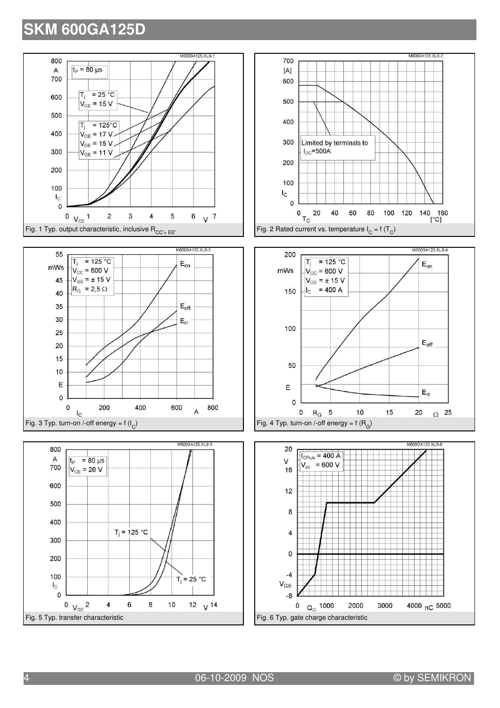









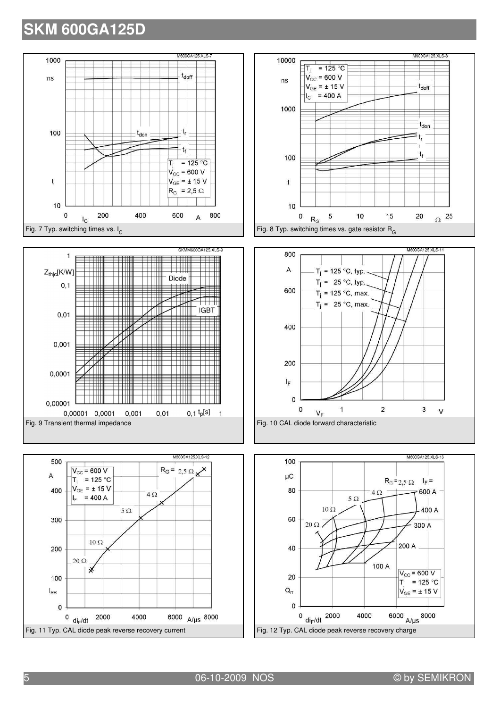









5 06-10-2009 NOS © by SEMIKRON